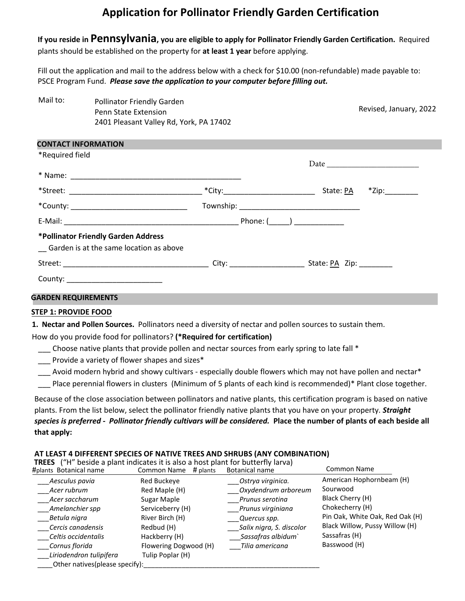# **Application for Pollinator Friendly Garden Certification**

**If you reside in Pennsylvania, you are eligible to apply for Pollinator Friendly Garden Certification.** Required plants should be established on the property for **at least 1 year** before applying.

Fill out the application and mail to the address below with a check for \$10.00 (non-refundable) made payable to: PSCE Program Fund. *Please save the application to your computer before filling out.*

| Mail to: | <b>Pollinator Friendly Garden</b>       |
|----------|-----------------------------------------|
|          | <b>Penn State Extension</b>             |
|          | 2401 Pleasant Valley Rd, York, PA 17402 |

Revised, January, 2022

| *Required field                                                                |                                    |           |                   |
|--------------------------------------------------------------------------------|------------------------------------|-----------|-------------------|
|                                                                                |                                    |           |                   |
|                                                                                | *City:____________________________ | State: PA | $*$ Zip:_________ |
|                                                                                |                                    |           |                   |
|                                                                                |                                    |           |                   |
| *Pollinator Friendly Garden Address<br>Garden is at the same location as above |                                    |           |                   |
|                                                                                |                                    |           |                   |
| County: ___________________________                                            |                                    |           |                   |

### **STEP 1: PROVIDE FOOD**

**1. Nectar and Pollen Sources.** Pollinators need a diversity of nectar and pollen sources to sustain them.

How do you provide food for pollinators? **(\*Required for certification)**

\_\_\_ Choose native plants that provide pollen and nectar sources from early spring to late fall \*

\_\_\_ Provide a variety of flower shapes and sizes\*

\_\_\_ Avoid modern hybrid and showy cultivars - especially double flowers which may not have pollen and nectar\*

\_\_\_ Place perennial flowers in clusters (Minimum of 5 plants of each kind is recommended)\* Plant close together.

Because of the close association between pollinators and native plants, this certification program is based on native plants. From the list below, select the pollinator friendly native plants that you have on your property. *Straight* 

*species is preferred - Pollinator friendly cultivars will be considered.* **Place the number of plants of each beside all that apply:** 

# **AT LEAST 4 DIFFERENT SPECIES OF NATIVE TREES AND SHRUBS (ANY COMBINATION)**

**TREES** ("H" beside a plant indicates it is also a host plant for butterfly larva)

| #plants Botanical name          | Common Name<br># plants | Botanical name           | Common Name                     |
|---------------------------------|-------------------------|--------------------------|---------------------------------|
| Aesculus pavia                  | Red Buckeye             | Ostrya virginica.        | American Hophornbeam (H)        |
| Acer rubrum                     | Red Maple (H)           | Oxydendrum arboreum      | Sourwood                        |
| Acer saccharum                  | Sugar Maple             | Prunus serotina          | Black Cherry (H)                |
| Amelanchier spp                 | Serviceberry (H)        | Prunus virginiana        | Chokecherry (H)                 |
| Betula nigra                    | River Birch (H)         | Quercus spp.             | Pin Oak, White Oak, Red Oak (H) |
| Cercis canadensis               | Redbud (H)              | Salix nigra, S. discolor | Black Willow, Pussy Willow (H)  |
| Celtis occidentalis             | Hackberry (H)           | Sassafras albidum`       | Sassafras (H)                   |
| Cornus florida                  | Flowering Dogwood (H)   | Tilia americana          | Basswood (H)                    |
| Liriodendron tulipifera         | Tulip Poplar (H)        |                          |                                 |
| Other natives (please specify): |                         |                          |                                 |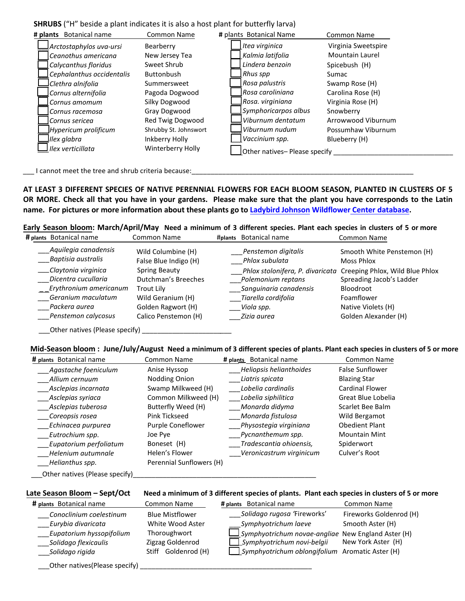## **SHRUBS** ("H" beside a plant indicates it is also a host plant for butterfly larva)

| # plants Botanical name   | <b>Common Name</b>    | # plants Botanical Name       | <b>Common Name</b>     |
|---------------------------|-----------------------|-------------------------------|------------------------|
| Arctostaphylos uva-ursi   | Bearberry             | Itea virginica                | Virginia Sweetspire    |
| Ceanothus americana       | New Jersey Tea        | Kalmia latifolia              | <b>Mountain Laurel</b> |
| Calycanthus floridus      | Sweet Shrub           | Lindera benzoin               | Spicebush (H)          |
| Cephalanthus occidentalis | Buttonbush            | Rhus spp                      | Sumac                  |
| lClethra alnifolia        | Summersweet           | Rosa palustris                | Swamp Rose (H)         |
| Cornus alternifolia       | Pagoda Dogwood        | l Rosa caroliniana            | Carolina Rose (H)      |
| Cornus amomum             | Silky Dogwood         | Rosa. virginiana              | Virginia Rose (H)      |
| Cornus racemosa           | Gray Dogwood          | Symphoricarpos albus          | Snowberry              |
| Cornus sericea            | Red Twig Dogwood      | Viburnum dentatum             | Arrowwood Viburnum     |
| Hypericum prolificum      | Shrubby St. Johnswort | Viburnum nudum                | Possumhaw Viburnum     |
| Ilex glabra               | Inkberry Holly        | Vaccinium spp.                | Blueberry (H)          |
| Ilex verticillata         | Winterberry Holly     | Other natives- Please specify |                        |

\_\_\_ I cannot meet the tree and shrub criteria because:\_\_\_\_\_\_\_\_\_\_\_\_\_\_\_\_\_\_\_\_\_\_\_\_\_\_\_\_\_\_\_\_\_\_\_\_\_\_\_\_\_\_\_\_\_\_\_\_\_\_\_\_\_\_\_\_\_\_

**AT LEAST 3 DIFFERENT SPECIES OF NATIVE PERENNIAL FLOWERS FOR EACH BLOOM SEASON, PLANTED IN CLUSTERS OF 5** OR MORE. Check all that you have in your gardens. Please make sure that the plant you have corresponds to the Latin **name. For pictures or more information about these plants go to [Ladybird Johnson Wildflower](http://www.wildflower.org/collections/collection.php?collection=xerces_bumble) Center database.**

**Early Season bloom: March/April/May Need a minimum of 3 different species. Plant each species in clusters of 5 or more**

| # plants Botanical name                      | Common Name                                 | Botanical name<br>#plants                              | Common Name                                                 |
|----------------------------------------------|---------------------------------------------|--------------------------------------------------------|-------------------------------------------------------------|
| Aquilegia canadensis<br>Baptisia australis   | Wild Columbine (H)<br>False Blue Indigo (H) | Penstemon digitalis<br>Phlox subulata                  | Smooth White Penstemon (H)<br>Moss Phlox                    |
| __Claytonia virginica<br>Dicentra cucullaria | Spring Beauty<br>Dutchman's Breeches        | Phlox stolonifera, P. divaricata<br>Polemonium reptans | Creeping Phlox, Wild Blue Phlox<br>Spreading Jacob's Ladder |
| Erythronium americanum                       | Trout Lilv                                  | Sanguinaria canadensis                                 | Bloodroot                                                   |
| Geranium maculatum                           | Wild Geranium (H)                           | Tiarella cordifolia                                    | Foamflower                                                  |
| Packera aurea                                | Golden Ragwort (H)                          | Viola spp.                                             | Native Violets (H)                                          |
| Penstemon calycosus                          | Calico Penstemon (H)                        | Zizia aurea                                            | Golden Alexander (H)                                        |
| $-1$                                         |                                             |                                                        |                                                             |

\_\_\_Other natives (Please specify) \_\_\_\_\_\_\_\_\_\_\_\_\_\_\_\_\_\_\_\_\_*\_\_\_* 

### Mid-Season bloom: June/July/August Need a minimum of 3 different species of plants. Plant each species in clusters of 5 or more

| # plants Botanical name                                  | <b>Common Name</b>       | # plants Botanical name  | <b>Common Name</b>     |
|----------------------------------------------------------|--------------------------|--------------------------|------------------------|
| Agastache foeniculum                                     | Anise Hyssop             | Heliopsis helianthoides  | <b>False Sunflower</b> |
| Allium cernuum                                           | Nodding Onion            | Liatris spicata          | <b>Blazing Star</b>    |
| Asclepias incarnata                                      | Swamp Milkweed (H)       | Lobelia cardinalis       | <b>Cardinal Flower</b> |
| Asclepias syriaca                                        | Common Milkweed (H)      | Lobelia siphilitica      | Great Blue Lobelia     |
| Asclepias tuberosa                                       | Butterfly Weed (H)       | Monarda didyma           | Scarlet Bee Balm       |
| Coreopsis rosea                                          | Pink Tickseed            | Monarda fistulosa        | Wild Bergamot          |
| Echinacea purpurea                                       | Purple Coneflower        | Physostegia virginiana   | <b>Obedient Plant</b>  |
| Eutrochium spp.                                          | Joe Pye                  | Pycnanthemum spp.        | <b>Mountain Mint</b>   |
| Eupatorium perfoliatum                                   | Boneset (H)              | Tradescantia ohioensis,  | Spiderwort             |
| Helenium autumnale                                       | Helen's Flower           | Veronicastrum virginicum | Culver's Root          |
| Helianthus spp.                                          | Perennial Sunflowers (H) |                          |                        |
| $\Delta t$ is a set of $\Delta t$ is a set of $\Delta t$ |                          |                          |                        |

 $\_\_$ Other natives (Please specify) $\_\_$ 

#### **Late Season Bloom – Sept/Oct Need a minimum of 3 different species of plants. Plant each species in clusters of 5 or more**

| Solidago rugosa 'Fireworks'<br>Fireworks Goldenrod (H)<br><b>Blue Mistflower</b><br>Conoclinium coelestinum |  |
|-------------------------------------------------------------------------------------------------------------|--|
| White Wood Aster<br>Eurybia divaricata<br>Smooth Aster (H)<br>Symphyotrichum laeve                          |  |
| Symphyotrichum novae-angliae New England Aster (H)<br>Eupatorium hyssopifolium<br>Thoroughwort              |  |
| New York Aster (H)<br>Symphyotrichum novi-belgii<br>Solidago flexicaulis<br>Zigzag Goldenrod                |  |
| $\Box$ Symphyotrichum oblongifolium Aromatic Aster (H)<br>Goldenrod (H)<br>Solidago rigida<br>Stiff         |  |

\_\_\_Other natives(Please specify) \_\_\_\_\_\_\_\_\_\_\_\_\_\_\_\_\_\_\_\_\_\_\_\_\_\_\_\_\_\_\_\_\_\_\_\_\_\_\_\_\_\_\_\_\_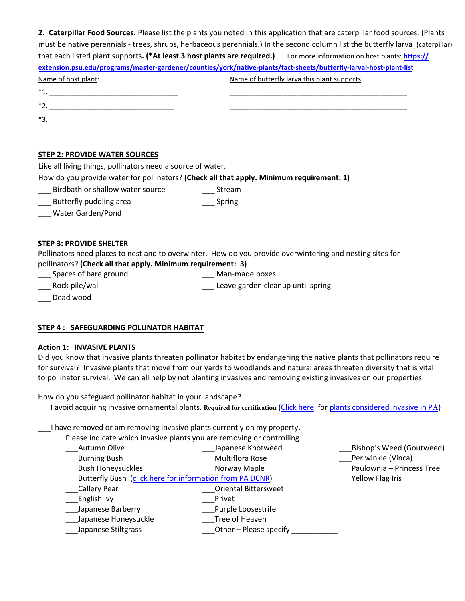|                                                                                                                     | 2. Caterpillar Food Sources. Please list the plants you noted in this application that are caterpillar food sources. (Plants   |
|---------------------------------------------------------------------------------------------------------------------|--------------------------------------------------------------------------------------------------------------------------------|
|                                                                                                                     | must be native perennials - trees, shrubs, herbaceous perennials.) In the second column list the butterfly larva (caterpillar) |
|                                                                                                                     | that each listed plant supports. (*At least 3 host plants are required.) For more information on host plants: https://         |
| extension.psu.edu/programs/master-gardener/counties/york/native-plants/fact-sheets/butterfly-larval-host-plant-list |                                                                                                                                |
| Name of host plant:                                                                                                 | Name of butterfly larva this plant supports:                                                                                   |
| $*_{1.}$                                                                                                            |                                                                                                                                |
| $*2.$                                                                                                               |                                                                                                                                |
| $*3.$                                                                                                               |                                                                                                                                |

# **STEP 2: PROVIDE WATER SOURCES**

Like all living things, pollinators need a source of water.

How do you provide water for pollinators? **(Check all that apply. Minimum requirement: 1)**

\_\_\_ Birdbath or shallow water source \_\_\_ Stream

- Butterfly puddling area **Example 20** Spring
- \_\_\_ Water Garden/Pond

## **STEP 3: PROVIDE SHELTER**

Pollinators need places to nest and to overwinter. How do you provide overwintering and nesting sites for pollinators? **(Check all that apply. Minimum requirement: 3)**

\_\_\_ Spaces of bare ground \_\_\_ Man-made boxes \_\_\_ Rock pile/wall \_\_\_ Leave garden cleanup until spring

Dead wood

# **STEP 4 : SAFEGUARDING POLLINATOR HABITAT**

### **Action 1: INVASIVE PLANTS**

Did you know that invasive plants threaten pollinator habitat by endangering the native plants that pollinators require for survival? Invasive plants that move from our yards to woodlands and natural areas threaten diversity that is vital to pollinator survival. We can all help by not planting invasives and removing existing invasives on our properties.

How do you safeguard pollinator habitat in your landscape?

\_\_\_I avoid acquiring invasive ornamental plants. **Required for certification** [\(Click here](http://www.dcnr.state.pa.us/cs/groups/public/documents/document/dcnr_20026634.pdf) for plants [considered invasive](http://www.dcnr.state.pa.us/cs/groups/public/documents/document/dcnr_20026634.pdf) in PA)

\_\_\_I have removed or am removing invasive plants currently on my property.

Please indicate which invasive plants you are removing or controlling

| Autumn Olive                                             | Japanese Knotweed           | Bishop's Weed (Goutweed)  |
|----------------------------------------------------------|-----------------------------|---------------------------|
| <b>Burning Bush</b>                                      | <b>Multiflora Rose</b>      | Periwinkle (Vinca)        |
| <b>Bush Honeysuckles</b>                                 | Norway Maple                | Paulownia - Princess Tree |
| Butterfly Bush (click here for information from PA DCNR) |                             | Yellow Flag Iris          |
| <b>Callery Pear</b>                                      | <b>Oriental Bittersweet</b> |                           |
| English Ivy                                              | Privet                      |                           |
| Japanese Barberry                                        | Purple Loosestrife          |                           |
| Japanese Honeysuckle                                     | Tree of Heaven              |                           |
| Japanese Stiltgrass                                      | Other - Please specify      |                           |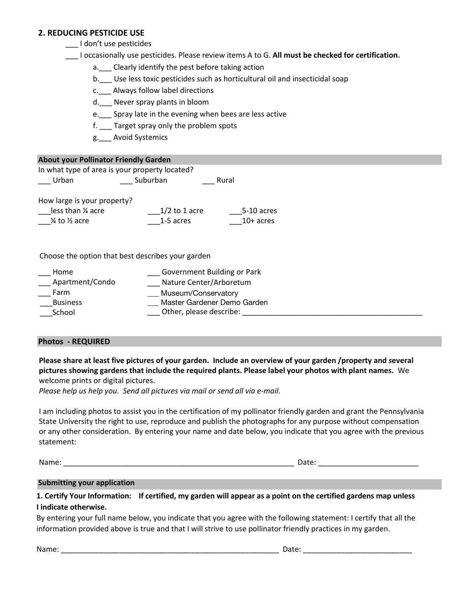# **2. REDUCING PESTICIDE USE**

\_\_\_ I don't use pesticides

\_\_\_ I occasionally use pesticides. Please review items A to G. **All must be checked for certification.**

- a. Clearly identify the pest before taking action
- b.\_\_\_ Use less toxic pesticides such as horticultural oil and insecticidal soap
- c.\_\_\_ Always follow label directions
- d. Never spray plants in bloom
- e. Spray late in the evening when bees are less active
- f. Target spray only the problem spots
- g.\_\_\_ Avoid Systemics

## **About your Pollinator Friendly Garden**

In what type of area is your property located? \_\_\_ Urban \_\_\_ Suburban \_\_\_ Rural

How large is your property?

| less than 1/4 acre | $1/2$ to 1 acre | 5-10 acres  |
|--------------------|-----------------|-------------|
| 1/4 to 1/2 acre    | 1-5 acres       | $10+$ acres |

Choose the option that best describes your garden

| Home            | Government Building or Park |
|-----------------|-----------------------------|
| Apartment/Condo | Nature Center/Arboretum     |
| Farm            | Museum/Conservatory         |
| <b>Business</b> | Master Gardener Demo Garden |
| School          | Other, please describe:     |

## **Photos - REQUIRED**

**Please share at least five pictures of your garden. Include an overview of your garden /property and** *s***everal pictures showing gardens that include the required plants. Please label your photos with plant names.** We welcome prints or digital pictures.

*Please help us help you. Send all pictures via mail or send all via e-mail.* 

I am including photos to assist you in the certification of my pollinator friendly garden and grant the Pennsylvania State University the right to use, reproduce and publish the photographs for any purpose without compensation or any other consideration. By entering your name and date below, you indicate that you agree with the previous statement:

Name: \_\_\_\_\_\_\_\_\_\_\_\_\_\_\_\_\_\_\_\_\_\_\_\_\_\_\_\_\_\_\_\_\_\_\_\_\_\_\_\_\_\_\_\_\_\_\_\_\_\_\_\_\_\_\_ Date: \_\_\_\_\_\_\_\_\_\_\_\_\_\_\_\_\_\_\_\_\_\_\_\_

### **Submitting your application**

**1. Certify Your Information: If certified, my garden will appear as a point on the certified gardens map unless I indicate otherwise.**

By entering your full name below, you indicate that you agree with the following statement: I certify that all the information provided above is true and that I will strive to use pollinator friendly practices in my garden.

Name: \_\_\_\_\_\_\_\_\_\_\_\_\_\_\_\_\_\_\_\_\_\_\_\_\_\_\_\_\_\_\_\_\_\_\_\_\_\_\_\_\_\_\_\_\_\_\_\_\_\_\_\_ Date: \_\_\_\_\_\_\_\_\_\_\_\_\_\_\_\_\_\_\_\_\_\_\_\_\_\_